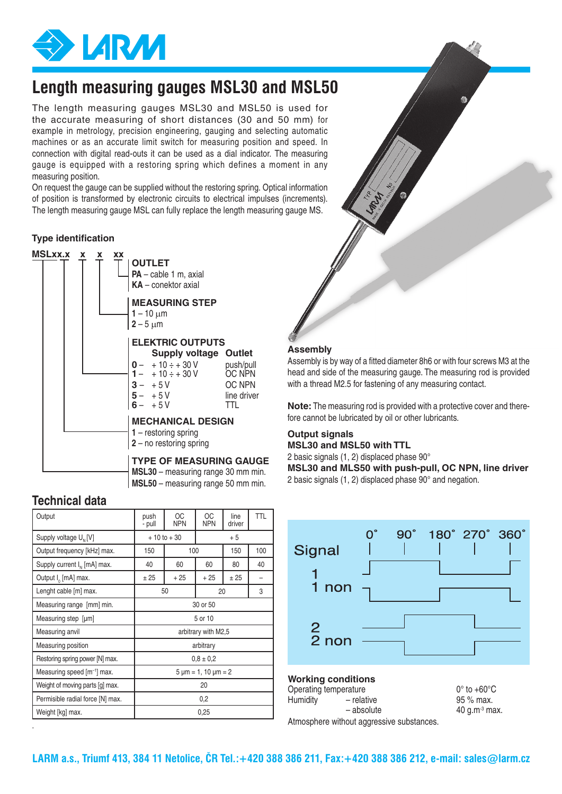

# **Length measuring gauges MSL30 and MSL50**

The length measuring gauges MSL30 and MSL50 is used for the accurate measuring of short distances (30 and 50 mm) for example in metrology, precision engineering, gauging and selecting automatic machines or as an accurate limit switch for measuring position and speed. In connection with digital read-outs it can be used as a dial indicator. The measuring gauge is equipped with a restoring spring which defines a moment in any measuring position.

On request the gauge can be supplied without the restoring spring. Optical information of position is transformed by electronic circuits to electrical impulses (increments). The length measuring gauge MSL can fully replace the length measuring gauge MS.

#### **Type identification**



### **Technical data**

.

| Output                                  | push<br>- pull              | <b>OC</b><br><b>NPN</b> | ОC<br><b>NPN</b> | line<br>driver | <b>TTL</b> |  |
|-----------------------------------------|-----------------------------|-------------------------|------------------|----------------|------------|--|
| Supply voltage U <sub>N</sub> [V]       |                             | $+10$ to $+30$          |                  | $+5$           |            |  |
| Output frequency [kHz] max.             | 150                         | 100                     |                  | 150            | 100        |  |
| Supply current $I_{N}$ [mA] max.        | 40                          | 60                      | 60               | 80             | 40         |  |
| Output I <sub>0</sub> [mA] max.         | ± 25                        | $+25$                   | $+25$            | ± 25           |            |  |
| Lenght cable [m] max.                   |                             | 50                      | 20               |                | 3          |  |
| Measuring range [mm] min.               | 30 or 50                    |                         |                  |                |            |  |
| Measuring step [µm]                     | 5 or 10                     |                         |                  |                |            |  |
| Measuring anvil                         | arbitrary with M2,5         |                         |                  |                |            |  |
| Measuring position                      |                             |                         | arbitrary        |                |            |  |
| Restoring spring power [N] max.         | $0.8 \pm 0.2$               |                         |                  |                |            |  |
| Measuring speed [m <sup>-1</sup> ] max. | $5 \mu m = 1, 10 \mu m = 2$ |                         |                  |                |            |  |
| Weight of moving parts [g] max.         | 20                          |                         |                  |                |            |  |
| Permisible radial force [N] max.        | 0,2                         |                         |                  |                |            |  |
| Weight [kg] max.                        | 0,25                        |                         |                  |                |            |  |

#### **Assembly**

Assembly is by way of a fitted diameter 8h6 or with four screws M3 at the head and side of the measuring gauge. The measuring rod is provided with a thread M2.5 for fastening of any measuring contact.

**Note:** The measuring rod is provided with a protective cover and therefore cannot be lubricated by oil or other lubricants.

## **Output signals**

**MSL30 and MSL50 with TTL** 2 basic signals  $(1, 2)$  displaced phase  $90^\circ$ 

**MSL30 and MLS50 with push-pull, OC NPN, line driver** 2 basic signals  $(1, 2)$  displaced phase  $90^\circ$  and negation.



40  $q.m<sup>3</sup>$  max.

## **Working conditions** Operating temperature  $0^{\circ}$  to  $+60^{\circ}$ C<br>
Humidity  $-$  relative  $95\%$  max. - relative  $-$  absolute  $-$  40 a.m<sup>3</sup> max.

Atmosphere without aggressive substances.